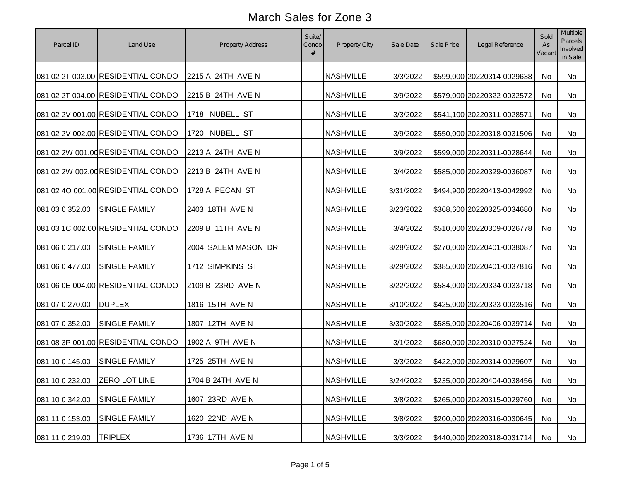| Parcel ID                     | Land Use                           | Property Address    | Suite/<br>Condo<br># | Property City    | Sale Date | Sale Price | Legal Reference               | Sold<br>As<br>Vacant | Multiple<br>Parcels<br>Involved<br>in Sale |
|-------------------------------|------------------------------------|---------------------|----------------------|------------------|-----------|------------|-------------------------------|----------------------|--------------------------------------------|
|                               | 081 02 2T 003.00 RESIDENTIAL CONDO | 2215 A 24TH AVE N   |                      | <b>NASHVILLE</b> | 3/3/2022  |            | \$599,000 20220314-0029638    | No                   | No                                         |
|                               | 081 02 2T 004.00 RESIDENTIAL CONDO | 2215 B 24TH AVE N   |                      | <b>NASHVILLE</b> | 3/9/2022  |            | \$579,000 20220322-0032572    | No                   | No                                         |
|                               | 081 02 2V 001.00 RESIDENTIAL CONDO | 1718 NUBELL ST      |                      | <b>NASHVILLE</b> | 3/3/2022  |            | \$541,100 20220311-0028571    | No                   | No                                         |
|                               | 081 02 2V 002.00 RESIDENTIAL CONDO | 1720 NUBELL ST      |                      | <b>NASHVILLE</b> | 3/9/2022  |            | \$550,000 20220318-0031506    | No                   | No                                         |
|                               | 081 02 2W 001.00 RESIDENTIAL CONDO | 2213 A 24TH AVE N   |                      | <b>NASHVILLE</b> | 3/9/2022  |            | \$599,000 20220311-0028644    | <b>No</b>            | No                                         |
|                               | 081 02 2W 002.00 RESIDENTIAL CONDO | 2213 B 24TH AVE N   |                      | <b>NASHVILLE</b> | 3/4/2022  |            | \$585,000 20220329-0036087    | No                   | No                                         |
|                               | 081 02 4O 001.00 RESIDENTIAL CONDO | 1728 A PECAN ST     |                      | <b>NASHVILLE</b> | 3/31/2022 |            | \$494,900 20220413-0042992    | No                   | No                                         |
| 081 03 0 352.00               | <b>SINGLE FAMILY</b>               | 2403 18TH AVE N     |                      | <b>NASHVILLE</b> | 3/23/2022 |            | \$368,600 20220325-0034680    | <b>No</b>            | No                                         |
|                               | 081 03 1C 002.00 RESIDENTIAL CONDO | 2209 B 11TH AVE N   |                      | <b>NASHVILLE</b> | 3/4/2022  |            | \$510,000 20220309-0026778    | No                   | No                                         |
| 081 06 0 217.00               | SINGLE FAMILY                      | 2004 SALEM MASON DR |                      | <b>NASHVILLE</b> | 3/28/2022 |            | \$270,000 20220401-0038087    | No                   | No                                         |
| 081 06 0 477.00               | SINGLE FAMILY                      | 1712 SIMPKINS ST    |                      | <b>NASHVILLE</b> | 3/29/2022 |            | \$385,000 20220401-0037816    | No                   | No                                         |
|                               | 081 06 0E 004.00 RESIDENTIAL CONDO | 2109 B 23RD AVE N   |                      | <b>NASHVILLE</b> | 3/22/2022 |            | \$584,000 20220324-0033718    | No                   | No                                         |
| 081 07 0 270.00               | <b>DUPLEX</b>                      | 1816 15TH AVE N     |                      | <b>NASHVILLE</b> | 3/10/2022 |            | \$425,000 20220323-0033516    | <b>No</b>            | No                                         |
| 081 07 0 352.00               | <b>SINGLE FAMILY</b>               | 1807 12TH AVE N     |                      | <b>NASHVILLE</b> | 3/30/2022 |            | \$585,000 20220406-0039714    | <b>No</b>            | <b>No</b>                                  |
|                               | 081 08 3P 001.00 RESIDENTIAL CONDO | 1902 A 9TH AVE N    |                      | <b>NASHVILLE</b> | 3/1/2022  |            | \$680,000 20220310-0027524    | No                   | <b>No</b>                                  |
| 081 10 0 145.00               | <b>SINGLE FAMILY</b>               | 1725 25TH AVE N     |                      | <b>NASHVILLE</b> | 3/3/2022  |            | \$422,000 20220314-0029607    | <b>No</b>            | No                                         |
| 081 10 0 232.00 ZERO LOT LINE |                                    | 1704 B 24TH AVE N   |                      | <b>NASHVILLE</b> | 3/24/2022 |            | \$235,000 20220404-0038456 No |                      | No                                         |
| 081 10 0 342.00               | <b>SINGLE FAMILY</b>               | 1607 23RD AVE N     |                      | <b>NASHVILLE</b> | 3/8/2022  |            | \$265,000 20220315-0029760    | No                   | No                                         |
| 081 11 0 153.00               | <b>SINGLE FAMILY</b>               | 1620 22ND AVE N     |                      | <b>NASHVILLE</b> | 3/8/2022  |            | \$200,000 20220316-0030645    | No                   | No                                         |
| 081 11 0 219.00               | <b>TRIPLEX</b>                     | 1736 17TH AVE N     |                      | <b>NASHVILLE</b> | 3/3/2022  |            | \$440,000 20220318-0031714    | No                   | No                                         |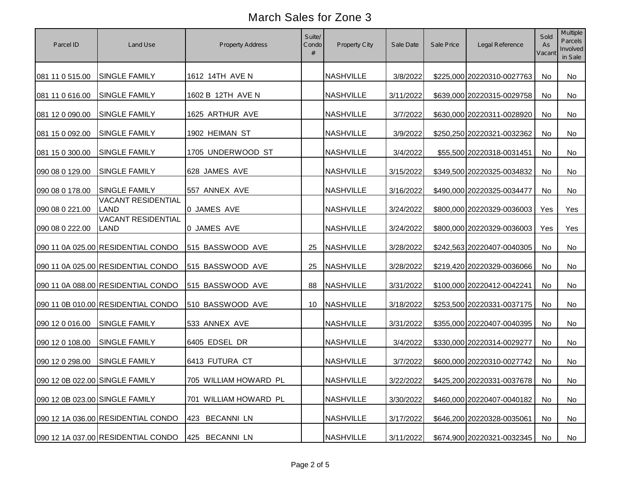| Parcel ID                      | Land Use                                 | Property Address         | Suite/<br>Condo<br># | Property City    | Sale Date | Sale Price | Legal Reference            | Sold<br>As<br>Vacant | Multiple<br>Parcels<br>Involved<br>in Sale |
|--------------------------------|------------------------------------------|--------------------------|----------------------|------------------|-----------|------------|----------------------------|----------------------|--------------------------------------------|
| 081 11 0 515.00                | <b>SINGLE FAMILY</b>                     | 1612 14TH AVE N          |                      | <b>NASHVILLE</b> | 3/8/2022  |            | \$225,000 20220310-0027763 | No                   | <b>No</b>                                  |
| 081 11 0 616.00                | <b>SINGLE FAMILY</b>                     | 1602 B 12TH AVE N        |                      | <b>NASHVILLE</b> | 3/11/2022 |            | \$639,000 20220315-0029758 | No                   | No                                         |
| 081 12 0 090.00                | <b>SINGLE FAMILY</b>                     | 1625 ARTHUR AVE          |                      | <b>NASHVILLE</b> | 3/7/2022  |            | \$630,000 20220311-0028920 | No                   | No                                         |
| 081 15 0 092.00                | <b>SINGLE FAMILY</b>                     | 1902 HEIMAN ST           |                      | <b>NASHVILLE</b> | 3/9/2022  |            | \$250,250 20220321-0032362 | No                   | No                                         |
| 081 15 0 300.00                | <b>SINGLE FAMILY</b>                     | 1705 UNDERWOOD ST        |                      | <b>NASHVILLE</b> | 3/4/2022  |            | \$55,500 20220318-0031451  | No                   | No                                         |
| 090 08 0 129.00                | <b>SINGLE FAMILY</b>                     | 628 JAMES AVE            |                      | <b>NASHVILLE</b> | 3/15/2022 |            | \$349,500 20220325-0034832 | No                   | <b>No</b>                                  |
| 090 08 0 178.00                | <b>SINGLE FAMILY</b>                     | 557 ANNEX AVE            |                      | <b>NASHVILLE</b> | 3/16/2022 |            | \$490,000 20220325-0034477 | No                   | No                                         |
| 090 08 0 221.00                | <b>VACANT RESIDENTIAL</b><br><b>LAND</b> | 0 JAMES AVE              |                      | <b>NASHVILLE</b> | 3/24/2022 |            | \$800,000 20220329-0036003 | Yes                  | Yes                                        |
| 090 08 0 222.00                | <b>VACANT RESIDENTIAL</b><br><b>LAND</b> | 0 JAMES AVE              |                      | NASHVILLE        | 3/24/2022 |            | \$800,000 20220329-0036003 | Yes                  | Yes                                        |
|                                | 090 11 0A 025.00 RESIDENTIAL CONDO       | 515 BASSWOOD AVE         | 25                   | NASHVILLE        | 3/28/2022 |            | \$242,563 20220407-0040305 | No                   | No                                         |
|                                | 090 11 0A 025.00 RESIDENTIAL CONDO       | 515 BASSWOOD AVE         | 25                   | <b>NASHVILLE</b> | 3/28/2022 |            | \$219,420 20220329-0036066 | No                   | No                                         |
|                                | 090 11 0A 088.00 RESIDENTIAL CONDO       | 515 BASSWOOD AVE         | 88                   | <b>NASHVILLE</b> | 3/31/2022 |            | \$100,000 20220412-0042241 | No                   | No                                         |
|                                | 090 11 0B 010.00 RESIDENTIAL CONDO       | 510 BASSWOOD AVE         | 10                   | NASHVILLE        | 3/18/2022 |            | \$253,500 20220331-0037175 | No                   | No                                         |
| 090 12 0 016.00                | <b>SINGLE FAMILY</b>                     | 533 ANNEX AVE            |                      | <b>NASHVILLE</b> | 3/31/2022 |            | \$355,000 20220407-0040395 | No                   | No                                         |
| 090 12 0 108.00                | <b>SINGLE FAMILY</b>                     | 6405 EDSEL DR            |                      | <b>NASHVILLE</b> | 3/4/2022  |            | \$330,000 20220314-0029277 | No                   | <b>No</b>                                  |
| 090 12 0 298.00                | <b>SINGLE FAMILY</b>                     | 6413 FUTURA CT           |                      | <b>NASHVILLE</b> | 3/7/2022  |            | \$600,000 20220310-0027742 | No                   | No                                         |
| 090 12 0B 022.00 SINGLE FAMILY |                                          | 705 WILLIAM HOWARD PL    |                      | <b>NASHVILLE</b> | 3/22/2022 |            | \$425,200 20220331-0037678 | No                   | No                                         |
| 090 12 0B 023.00 SINGLE FAMILY |                                          | 701 WILLIAM HOWARD PL    |                      | <b>NASHVILLE</b> | 3/30/2022 |            | \$460,000 20220407-0040182 | No                   | No                                         |
|                                | 090 12 1A 036.00 RESIDENTIAL CONDO       | <b>BECANNI LN</b><br>423 |                      | <b>NASHVILLE</b> | 3/17/2022 |            | \$646,200 20220328-0035061 | No                   | No                                         |
|                                | 090 12 1A 037.00 RESIDENTIAL CONDO       | 425 BECANNI LN           |                      | <b>NASHVILLE</b> | 3/11/2022 |            | \$674,900 20220321-0032345 | No                   | No                                         |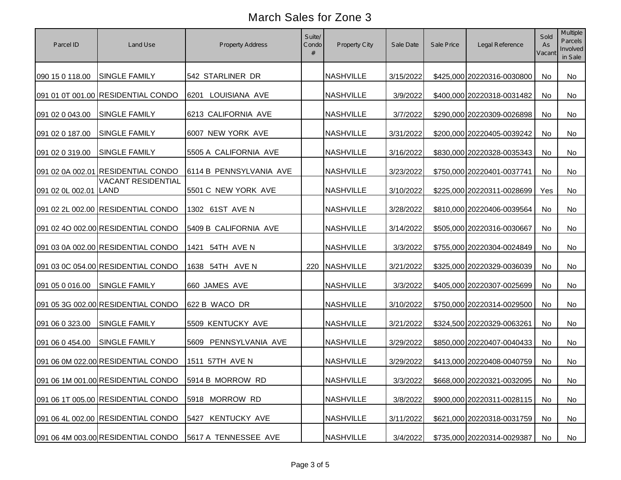| Parcel ID             | Land Use                           | Property Address         | Suite/<br>Condo<br># | Property City    | Sale Date | Sale Price | Legal Reference            | Sold<br>As<br>Vacant | Multiple<br>Parcels<br>Involved<br>in Sale |
|-----------------------|------------------------------------|--------------------------|----------------------|------------------|-----------|------------|----------------------------|----------------------|--------------------------------------------|
| 090 15 0 118.00       | <b>SINGLE FAMILY</b>               | 542 STARLINER DR         |                      | <b>NASHVILLE</b> | 3/15/2022 |            | \$425,000 20220316-0030800 | <b>No</b>            | No                                         |
|                       | 091 01 0T 001.00 RESIDENTIAL CONDO | 6201 LOUISIANA AVE       |                      | <b>NASHVILLE</b> | 3/9/2022  |            | \$400,000 20220318-0031482 | No                   | No                                         |
| 091 02 0 043.00       | <b>SINGLE FAMILY</b>               | 6213 CALIFORNIA AVE      |                      | <b>NASHVILLE</b> | 3/7/2022  |            | \$290,000 20220309-0026898 | No                   | <b>No</b>                                  |
| 091 02 0 187.00       | <b>SINGLE FAMILY</b>               | 6007 NEW YORK AVE        |                      | <b>NASHVILLE</b> | 3/31/2022 |            | \$200,000 20220405-0039242 | No                   | <b>No</b>                                  |
| 091 02 0 319.00       | <b>SINGLE FAMILY</b>               | 5505 A CALIFORNIA AVE    |                      | <b>NASHVILLE</b> | 3/16/2022 |            | \$830,000 20220328-0035343 | No                   | No                                         |
|                       | 091 02 0A 002.01 RESIDENTIAL CONDO | 6114 B PENNSYLVANIA AVE  |                      | <b>NASHVILLE</b> | 3/23/2022 |            | \$750,000 20220401-0037741 | <b>No</b>            | No                                         |
| 091 02 0L 002.01 LAND | <b>VACANT RESIDENTIAL</b>          | 5501 C NEW YORK AVE      |                      | <b>NASHVILLE</b> | 3/10/2022 |            | \$225,000 20220311-0028699 | Yes                  | No                                         |
|                       | 091 02 2L 002.00 RESIDENTIAL CONDO | 1302 61ST AVE N          |                      | <b>NASHVILLE</b> | 3/28/2022 |            | \$810,000 20220406-0039564 | No                   | No                                         |
|                       | 091 02 4O 002.00 RESIDENTIAL CONDO | 5409 B CALIFORNIA AVE    |                      | <b>NASHVILLE</b> | 3/14/2022 |            | \$505,000 20220316-0030667 | No                   | No                                         |
|                       | 091 03 0A 002.00 RESIDENTIAL CONDO | 54TH AVE N<br>1421       |                      | <b>NASHVILLE</b> | 3/3/2022  |            | \$755,000 20220304-0024849 | No                   | No                                         |
|                       | 091 03 0C 054.00 RESIDENTIAL CONDO | 1638 54TH AVE N          |                      | 220 NASHVILLE    | 3/21/2022 |            | \$325,000 20220329-0036039 | No                   | No                                         |
| 091 05 0 016.00       | <b>SINGLE FAMILY</b>               | 660 JAMES AVE            |                      | <b>NASHVILLE</b> | 3/3/2022  |            | \$405,000 20220307-0025699 | No                   | No                                         |
|                       | 091 05 3G 002.00 RESIDENTIAL CONDO | 622 B WACO DR            |                      | <b>NASHVILLE</b> | 3/10/2022 |            | \$750,000 20220314-0029500 | No                   | No                                         |
| 091 06 0 323.00       | <b>SINGLE FAMILY</b>               | 5509 KENTUCKY AVE        |                      | <b>NASHVILLE</b> | 3/21/2022 |            | \$324,500 20220329-0063261 | No                   | No                                         |
| 091 06 0 454.00       | <b>SINGLE FAMILY</b>               | 5609<br>PENNSYLVANIA AVE |                      | <b>NASHVILLE</b> | 3/29/2022 |            | \$850,000 20220407-0040433 | <b>No</b>            | <b>No</b>                                  |
|                       | 091 06 0M 022.00 RESIDENTIAL CONDO | 1511 57TH AVE N          |                      | <b>NASHVILLE</b> | 3/29/2022 |            | \$413,000 20220408-0040759 | <b>No</b>            | <b>No</b>                                  |
|                       | 091 06 1M 001.00 RESIDENTIAL CONDO | 5914 B MORROW RD         |                      | <b>NASHVILLE</b> | 3/3/2022  |            | \$668,000 20220321-0032095 | No                   | No                                         |
|                       | 091 06 1T 005.00 RESIDENTIAL CONDO | 5918 MORROW RD           |                      | <b>NASHVILLE</b> | 3/8/2022  |            | \$900,000 20220311-0028115 | No                   | No                                         |
|                       | 091 06 4L 002.00 RESIDENTIAL CONDO | 5427 KENTUCKY AVE        |                      | <b>NASHVILLE</b> | 3/11/2022 |            | \$621,000 20220318-0031759 | No                   | No                                         |
|                       | 091 06 4M 003.00 RESIDENTIAL CONDO | 5617 A TENNESSEE AVE     |                      | NASHVILLE        | 3/4/2022  |            | \$735,000 20220314-0029387 | No                   | No                                         |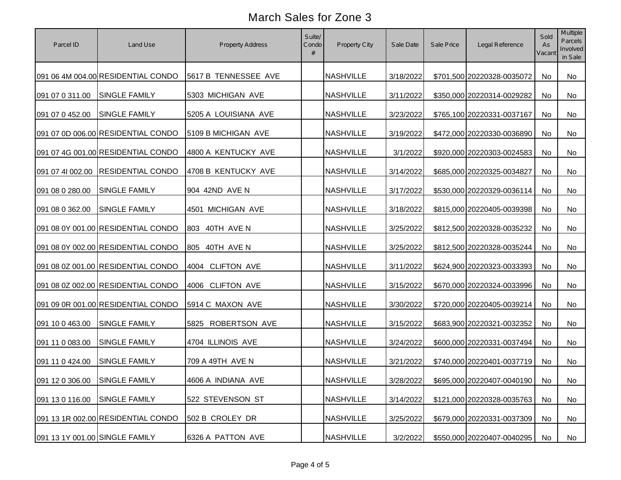| Parcel ID                      | Land Use                           | Property Address     | Suite/<br>Condo<br># | Property City    | Sale Date | Sale Price | Legal Reference            | Sold<br>As<br>Vacant | Multiple<br>Parcels<br>Involved<br>in Sale |
|--------------------------------|------------------------------------|----------------------|----------------------|------------------|-----------|------------|----------------------------|----------------------|--------------------------------------------|
|                                | 091 06 4M 004.00 RESIDENTIAL CONDO | 5617 B TENNESSEE AVE |                      | <b>NASHVILLE</b> | 3/18/2022 |            | \$701,500 20220328-0035072 | No                   | No                                         |
| 091 07 0 311.00                | <b>SINGLE FAMILY</b>               | 5303 MICHIGAN AVE    |                      | <b>NASHVILLE</b> | 3/11/2022 |            | \$350,000 20220314-0029282 | No                   | No                                         |
| 091 07 0 452.00                | <b>SINGLE FAMILY</b>               | 5205 A LOUISIANA AVE |                      | <b>NASHVILLE</b> | 3/23/2022 |            | \$765,100 20220331-0037167 | <b>No</b>            | <b>No</b>                                  |
|                                | 091 07 0D 006.00 RESIDENTIAL CONDO | 5109 B MICHIGAN AVE  |                      | <b>NASHVILLE</b> | 3/19/2022 |            | \$472,000 20220330-0036890 | <b>No</b>            | <b>No</b>                                  |
|                                | 091 07 4G 001.00 RESIDENTIAL CONDO | 4800 A KENTUCKY AVE  |                      | <b>NASHVILLE</b> | 3/1/2022  |            | \$920,000 20220303-0024583 | No                   | No                                         |
| 091 07 41 002.00               | <b>RESIDENTIAL CONDO</b>           | 4708 B KENTUCKY AVE  |                      | <b>NASHVILLE</b> | 3/14/2022 |            | \$685,000 20220325-0034827 | No                   | No                                         |
| 091 08 0 280.00                | <b>SINGLE FAMILY</b>               | 904 42ND AVE N       |                      | <b>NASHVILLE</b> | 3/17/2022 |            | \$530,000 20220329-0036114 | No                   | No                                         |
| 091 08 0 362.00                | <b>SINGLE FAMILY</b>               | 4501 MICHIGAN AVE    |                      | <b>NASHVILLE</b> | 3/18/2022 |            | \$815,000 20220405-0039398 | No                   | No                                         |
|                                | 091 08 0Y 001.00 RESIDENTIAL CONDO | 40TH AVE N<br>803    |                      | <b>NASHVILLE</b> | 3/25/2022 |            | \$812,500 20220328-0035232 | No                   | No                                         |
|                                | 091 08 0Y 002.00 RESIDENTIAL CONDO | 805 40TH AVE N       |                      | <b>NASHVILLE</b> | 3/25/2022 |            | \$812,500 20220328-0035244 | No                   | No                                         |
|                                | 091 08 0Z 001.00 RESIDENTIAL CONDO | 4004 CLIFTON AVE     |                      | <b>NASHVILLE</b> | 3/11/2022 |            | \$624,900 20220323-0033393 | No                   | No                                         |
|                                | 091 08 0Z 002.00 RESIDENTIAL CONDO | 4006 CLIFTON AVE     |                      | <b>NASHVILLE</b> | 3/15/2022 |            | \$670,000 20220324-0033996 | No                   | No                                         |
|                                | 091 09 0R 001.00 RESIDENTIAL CONDO | 5914 C MAXON AVE     |                      | <b>NASHVILLE</b> | 3/30/2022 |            | \$720,000 20220405-0039214 | No                   | No                                         |
| 091 10 0 463.00                | <b>SINGLE FAMILY</b>               | 5825 ROBERTSON AVE   |                      | <b>NASHVILLE</b> | 3/15/2022 |            | \$683,900 20220321-0032352 | No                   | <b>No</b>                                  |
| 091 11 0 083.00                | <b>SINGLE FAMILY</b>               | 4704 ILLINOIS AVE    |                      | <b>NASHVILLE</b> | 3/24/2022 |            | \$600,000 20220331-0037494 | No                   | <b>No</b>                                  |
| 091 11 0 424.00                | <b>SINGLE FAMILY</b>               | 709 A 49TH AVE N     |                      | <b>NASHVILLE</b> | 3/21/2022 |            | \$740,000 20220401-0037719 | <b>No</b>            | <b>No</b>                                  |
| 091 12 0 306.00 SINGLE FAMILY  |                                    | 4606 A INDIANA AVE   |                      | <b>NASHVILLE</b> | 3/28/2022 |            | \$695,000 20220407-0040190 | No                   | No                                         |
| 091 13 0 116.00                | <b>SINGLE FAMILY</b>               | 522 STEVENSON ST     |                      | <b>NASHVILLE</b> | 3/14/2022 |            | \$121,000 20220328-0035763 | No                   | No                                         |
|                                | 091 13 1R 002.00 RESIDENTIAL CONDO | 502 B CROLEY DR      |                      | <b>NASHVILLE</b> | 3/25/2022 |            | \$679,000 20220331-0037309 | No                   | No                                         |
| 091 13 1Y 001.00 SINGLE FAMILY |                                    | 6326 A PATTON AVE    |                      | <b>NASHVILLE</b> | 3/2/2022  |            | \$550,000 20220407-0040295 | No                   | No                                         |